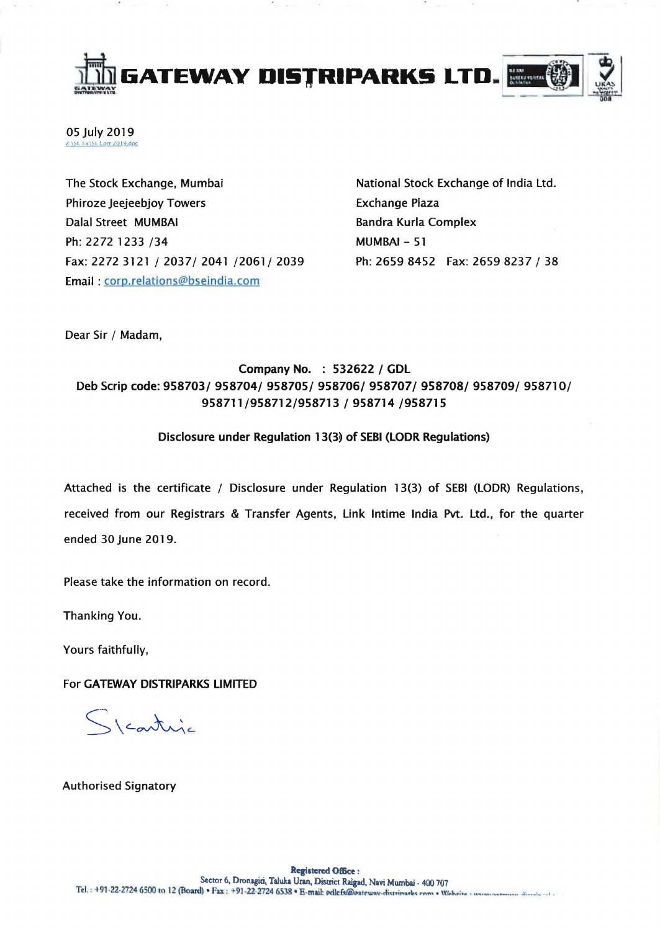

05 July 2019 <u>2:\\$t. Ex\\$E Corr 2019.doc</u>

The Stock Exchange, Mumbai Phiroze Jeejeebjoy Towers Dalal Street MUMBAI Ph: 2272 1233 /34 Fax: 2272 3121 / 2037/ 2041 /2061/ 2039 Email: corp.relations@bseindia.com

National Stock Exchange of India Ltd. Exchange Plaza Bandra Kurla Complex MUMBAI- 51 Ph: 2659 8452 Fax: 26598237 / 38

Dear Sir / Madam,

## Company No. : 532622 / GDL Deb Scrip code: 958703/ 958704/ 958705/ 958706/ 958707/ 958708/ 958709/ 958710/ 958711/958712/958713 / 958714 /958715

## Disclosure under Regulation 13(3) of SEBI (LODR Regulations)

Attached is the certificate / Disclosure under Regulation 13(3) of SEBI (LODR) Regulations, received from our Registrars & Transfer Agents, Link Intime India Pvt. Ltd., for the quarter ended 30 June 2019.

Please take the information on record.

Thanking You.

Yours faithfully,

For GATEWAY DISTRIPARKS LIMITED

Steartuja

Authorised Signatory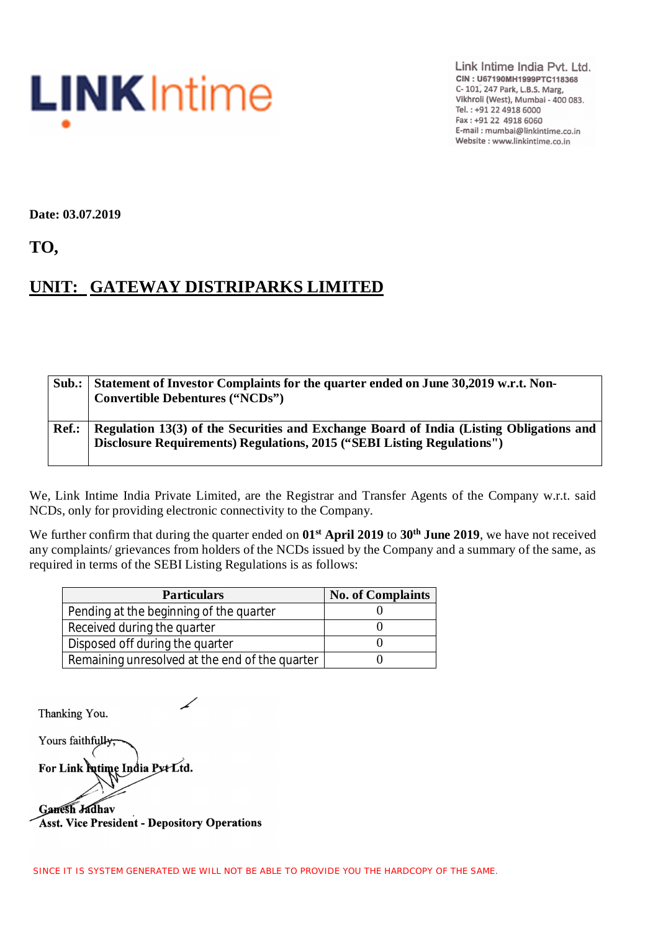

Link Intime India Pvt. Ltd. CIN: U67190MH1999PTC118368 C-101, 247 Park, L.B.S. Marg, Vikhroli (West), Mumbai - 400 083. Tel.: +91 22 4918 6000 Fax: +91 22 4918 6060 E-mail: mumbai@linkintime.co.in Website : www.linkintime.co.in

**Date: 03.07.2019**

**TO,**

## **UNIT: GATEWAY DISTRIPARKS LIMITED**

| Sub.: | Statement of Investor Complaints for the quarter ended on June 30,2019 w.r.t. Non-<br><b>Convertible Debentures ("NCDs")</b>                                       |
|-------|--------------------------------------------------------------------------------------------------------------------------------------------------------------------|
| Ref.: | Regulation 13(3) of the Securities and Exchange Board of India (Listing Obligations and<br>Disclosure Requirements) Regulations, 2015 ("SEBI Listing Regulations") |

We, Link Intime India Private Limited, are the Registrar and Transfer Agents of the Company w.r.t. said NCDs, only for providing electronic connectivity to the Company.

We further confirm that during the quarter ended on **01st April 2019** to **30 th June 2019**, we have not received any complaints/ grievances from holders of the NCDs issued by the Company and a summary of the same, as required in terms of the SEBI Listing Regulations is as follows:

| <b>Particulars</b>                             | <b>No. of Complaints</b> |  |  |
|------------------------------------------------|--------------------------|--|--|
| Pending at the beginning of the quarter        |                          |  |  |
| Received during the quarter                    |                          |  |  |
| Disposed off during the quarter                |                          |  |  |
| Remaining unresolved at the end of the quarter |                          |  |  |

Thanking You.

Yours faithfully For Link futime India Put Ltd. Ganesh Jadhav

**Asst. Vice President - Depository Operations**